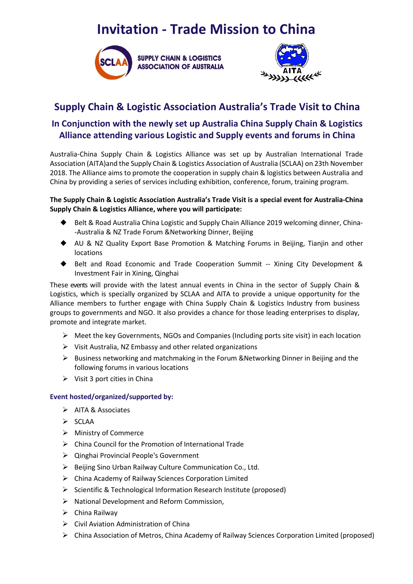# **Invitation - Trade Mission to China**





## **Supply Chain & Logistic Association Australia's Trade Visit to China**

## **In Conjunction with the newly set up Australia China Supply Chain & Logistics Alliance attending various Logistic and Supply events and forums in China**

Australia-China Supply Chain & Logistics Alliance was set up by Australian International Trade Association (AITA)and the Supply Chain & Logistics Association of Australia (SCLAA) on 23th November 2018. The Alliance aims to promote the cooperation in supply chain & logistics between Australia and China by providing a series of services including exhibition, conference, forum, training program.

### **The Supply Chain & Logistic Association Australia's Trade Visit is a special event for Australia-China Supply Chain & Logistics Alliance, where you will participate:**

- ◆ Belt & Road Australia China Logistic and Supply Chain Alliance 2019 welcoming dinner, China--Australia & NZ Trade Forum &Networking Dinner, Beijing
- ◆ AU & NZ Quality Export Base Promotion & Matching Forums in Beijing, Tianjin and other locations
- ◆ Belt and Road Economic and Trade Cooperation Summit -- Xining City Development & Investment Fair in Xining, Qinghai

These events will provide with the latest annual events in China in the sector of Supply Chain & Logistics, which is specially organized by SCLAA and AITA to provide a unique opportunity for the Alliance members to further engage with China Supply Chain & Logistics Industry from business groups to governments and NGO. It also provides a chance for those leading enterprises to display, promote and integrate market.

- $\triangleright$  Meet the key Governments, NGOs and Companies (Including ports site visit) in each location
- $\triangleright$  Visit Australia, NZ Embassy and other related organizations
- $\triangleright$  Business networking and matchmaking in the Forum &Networking Dinner in Beijing and the following forums in various locations
- $\triangleright$  Visit 3 port cities in China

#### **Event hosted/organized/supported by:**

- > AITA & Associates
- $\triangleright$  SCLAA
- > [Ministry of Commerce](http://youdao.com/w/Ministry%20of%20Commerce/#keyfrom=E2Ctranslation)
- $\triangleright$  [China Council for the Promotion of International Trade](http://youdao.com/w/China%20Council%20for%20the%20Promotion%20of%20International%20Trade/#keyfrom=E2Ctranslation)
- Qinghai Provincial People's Government
- $\triangleright$  Beijing Sino Urban Railway Culture Communication Co., Ltd.
- China Academy of Railway Sciences Corporation Limited
- $\triangleright$  Scientific & Technological Information Research Institute (proposed)
- $\triangleright$  National Development and Reform Commission,
- $\triangleright$  China Railway
- $\triangleright$  Civil Aviation Administration of China
- China Association of Metros, China Academy of Railway Sciences Corporation Limited (proposed)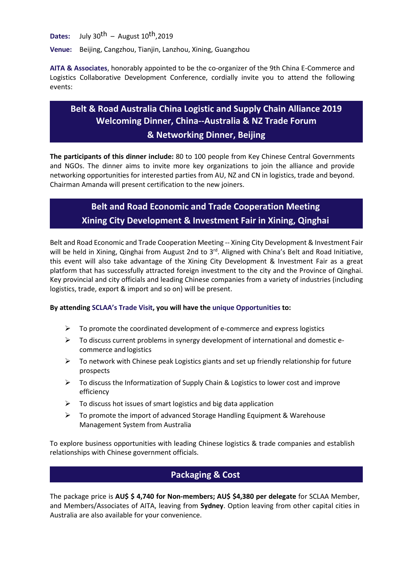**Dates:** July 30<sup>th</sup> – August  $10^{th}$ , 2019

**Venue:** Beijing, Cangzhou, Tianjin, Lanzhou, Xining, Guangzhou

**AITA & Associates**, honorably appointed to be the co-organizer of the 9th China E-Commerce and Logistics Collaborative Development Conference, cordially invite you to attend the following events:

# **Belt & Road Australia China Logistic and Supply Chain Alliance 2019 Welcoming Dinner, China--Australia & NZ Trade Forum**

### **& Networking Dinner, Beijing**

**The participants of this dinner include:** 80 to 100 people from Key Chinese Central Governments and NGOs. The dinner aims to invite more key organizations to join the alliance and provide networking opportunities for interested parties from AU, NZ and CN in logistics, trade and beyond. Chairman Amanda will present certification to the new joiners.

## **Belt and Road Economic and Trade Cooperation Meeting Xining City Development & Investment Fair in Xining, Qinghai**

Belt and Road Economic and Trade Cooperation Meeting -- Xining City Development & Investment Fair will be held in Xining, Qinghai from August 2nd to 3<sup>rd</sup>. Aligned with China's Belt and Road Initiative, this event will also take advantage of the Xining City Development & Investment Fair as a great platform that has successfully attracted foreign investment to the city and the Province of Qinghai. Key provincial and city officials and leading Chinese companies from a variety of industries (including logistics, trade, export & import and so on) will be present.

### **By attending SCLAA's Trade Visit, you will have the unique Opportunities to:**

- $\triangleright$  To promote the coordinated development of e-commerce and express logistics
- $\triangleright$  To discuss current problems in synergy development of international and domestic ecommerce and logistics
- $\triangleright$  To network with Chinese peak Logistics giants and set up friendly relationship for future prospects
- $\triangleright$  To discuss the Informatization of Supply Chain & Logistics to lower cost and improve efficiency
- $\triangleright$  To discuss hot issues of smart logistics and big data application
- $\triangleright$  To promote the import of advanced Storage Handling Equipment & Warehouse Management System from Australia

To explore business opportunities with leading Chinese logistics & trade companies and establish relationships with Chinese government officials.

## **Packaging & Cost**

The package price is **AU\$ \$ 4,740 for Non-members; AU\$ \$4,380 per delegate** for SCLAA Member, and Members/Associates of AITA, leaving from **Sydney**. Option leaving from other capital cities in Australia are also available for your convenience.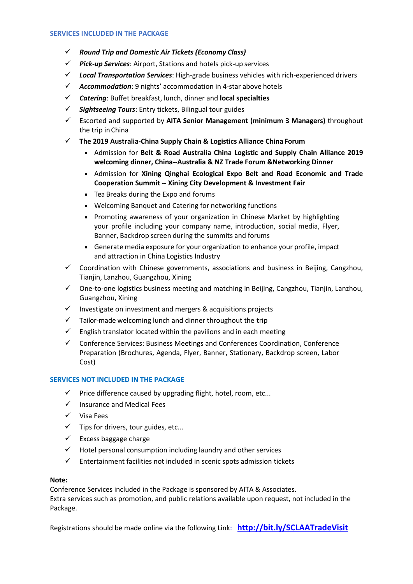#### **SERVICES INCLUDED IN THE PACKAGE**

- *Round Trip and Domestic Air Tickets (Economy Class)*
- *Pick-up Services*: Airport, Stations and hotels pick-up services
- *Local Transportation Services*: High-grade business vehicles with rich-experienced drivers
- *Accommodation*: 9 nights' accommodation in 4-star above hotels
- *Catering*: Buffet breakfast, lunch, dinner and **local specialties**
- *Sightseeing Tours*: Entry tickets, Bilingual tour guides
- Escorted and supported by **AITA Senior Management (minimum 3 Managers)** throughout the trip inChina
- **The 2019 Australia-China Supply Chain & Logistics Alliance China Forum**
	- Admission for **Belt & Road Australia China Logistic and Supply Chain Alliance 2019 welcoming dinner, China--Australia & NZ Trade Forum &Networking Dinner**
	- Admission for **Xining Qinghai Ecological Expo Belt and Road Economic and Trade Cooperation Summit -- Xining City Development & Investment Fair**
	- Tea Breaks during the Expo and forums
	- Welcoming Banquet and Catering for networking functions
	- Promoting awareness of your organization in Chinese Market by highlighting your profile including your company name, introduction, social media, Flyer, Banner, Backdrop screen during the summits and forums
	- Generate media exposure for your organization to enhance your profile, impact and attraction in China Logistics Industry
- $\checkmark$  Coordination with Chinese governments, associations and business in Beijing, Cangzhou, Tianjin, Lanzhou, Guangzhou, Xining
- $\checkmark$  One-to-one logistics business meeting and matching in Beijing, Cangzhou, Tianjin, Lanzhou, Guangzhou, Xining
- $\checkmark$  Investigate on investment and mergers & acquisitions projects
- $\checkmark$  Tailor-made welcoming lunch and dinner throughout the trip
- $\checkmark$  English translator located within the pavilions and in each meeting
- $\checkmark$  Conference Services: Business Meetings and Conferences Coordination, Conference Preparation (Brochures, Agenda, Flyer, Banner, Stationary, Backdrop screen, Labor Cost)

#### **SERVICES NOT INCLUDED IN THE PACKAGE**

- $\checkmark$  Price difference caused by upgrading flight, hotel, room, etc...
- $\checkmark$  Insurance and Medical Fees
- $\checkmark$  Visa Fees
- $\checkmark$  Tips for drivers, tour guides, etc...
- $\checkmark$  Excess baggage charge
- $\checkmark$  Hotel personal consumption including laundry and other services
- $\checkmark$  Entertainment facilities not included in scenic spots admission tickets

#### **Note:**

Conference Services included in the Package is sponsored by AITA & Associates. Extra services such as promotion, and public relations available upon request, not included in the Package.

Registrations should be made online via the following Link: **<http://bit.ly/SCLAATradeVisit>**